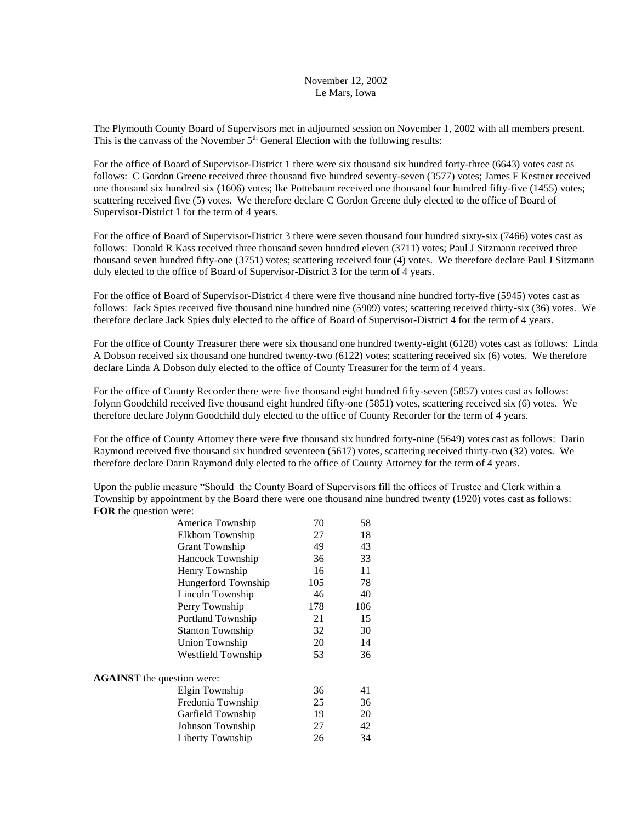## November 12, 2002 Le Mars, Iowa

The Plymouth County Board of Supervisors met in adjourned session on November 1, 2002 with all members present. This is the canvass of the November  $5<sup>th</sup>$  General Election with the following results:

For the office of Board of Supervisor-District 1 there were six thousand six hundred forty-three (6643) votes cast as follows: C Gordon Greene received three thousand five hundred seventy-seven (3577) votes; James F Kestner received one thousand six hundred six (1606) votes; Ike Pottebaum received one thousand four hundred fifty-five (1455) votes; scattering received five (5) votes. We therefore declare C Gordon Greene duly elected to the office of Board of Supervisor-District 1 for the term of 4 years.

For the office of Board of Supervisor-District 3 there were seven thousand four hundred sixty-six (7466) votes cast as follows: Donald R Kass received three thousand seven hundred eleven (3711) votes; Paul J Sitzmann received three thousand seven hundred fifty-one (3751) votes; scattering received four (4) votes. We therefore declare Paul J Sitzmann duly elected to the office of Board of Supervisor-District 3 for the term of 4 years.

For the office of Board of Supervisor-District 4 there were five thousand nine hundred forty-five (5945) votes cast as follows: Jack Spies received five thousand nine hundred nine (5909) votes; scattering received thirty-six (36) votes. We therefore declare Jack Spies duly elected to the office of Board of Supervisor-District 4 for the term of 4 years.

For the office of County Treasurer there were six thousand one hundred twenty-eight (6128) votes cast as follows: Linda A Dobson received six thousand one hundred twenty-two (6122) votes; scattering received six (6) votes. We therefore declare Linda A Dobson duly elected to the office of County Treasurer for the term of 4 years.

For the office of County Recorder there were five thousand eight hundred fifty-seven (5857) votes cast as follows: Jolynn Goodchild received five thousand eight hundred fifty-one (5851) votes, scattering received six (6) votes. We therefore declare Jolynn Goodchild duly elected to the office of County Recorder for the term of 4 years.

For the office of County Attorney there were five thousand six hundred forty-nine (5649) votes cast as follows: Darin Raymond received five thousand six hundred seventeen (5617) votes, scattering received thirty-two (32) votes. We therefore declare Darin Raymond duly elected to the office of County Attorney for the term of 4 years.

Upon the public measure "Should the County Board of Supervisors fill the offices of Trustee and Clerk within a Township by appointment by the Board there were one thousand nine hundred twenty (1920) votes cast as follows: **FOR** the question were:

| America Township                  | 70  | 58  |  |  |  |  |
|-----------------------------------|-----|-----|--|--|--|--|
| Elkhorn Township                  | 27  | 18  |  |  |  |  |
| <b>Grant Township</b>             | 49  | 43  |  |  |  |  |
| Hancock Township                  | 36  | 33  |  |  |  |  |
| Henry Township                    | 16  | 11  |  |  |  |  |
| Hungerford Township               | 105 | 78  |  |  |  |  |
| Lincoln Township                  | 46  | 40  |  |  |  |  |
| Perry Township                    | 178 | 106 |  |  |  |  |
| Portland Township                 | 21  | 15  |  |  |  |  |
| <b>Stanton Township</b>           | 32  | 30  |  |  |  |  |
| Union Township                    | 20  | 14  |  |  |  |  |
| Westfield Township                | 53  | 36  |  |  |  |  |
| <b>AGAINST</b> the question were: |     |     |  |  |  |  |
| Elgin Township                    | 36  | 41  |  |  |  |  |
| Fredonia Township                 | 25  | 36  |  |  |  |  |
| Garfield Township                 | 19  | 20  |  |  |  |  |
| Johnson Township                  | 27  | 42  |  |  |  |  |
| Liberty Township                  | 26  | 34  |  |  |  |  |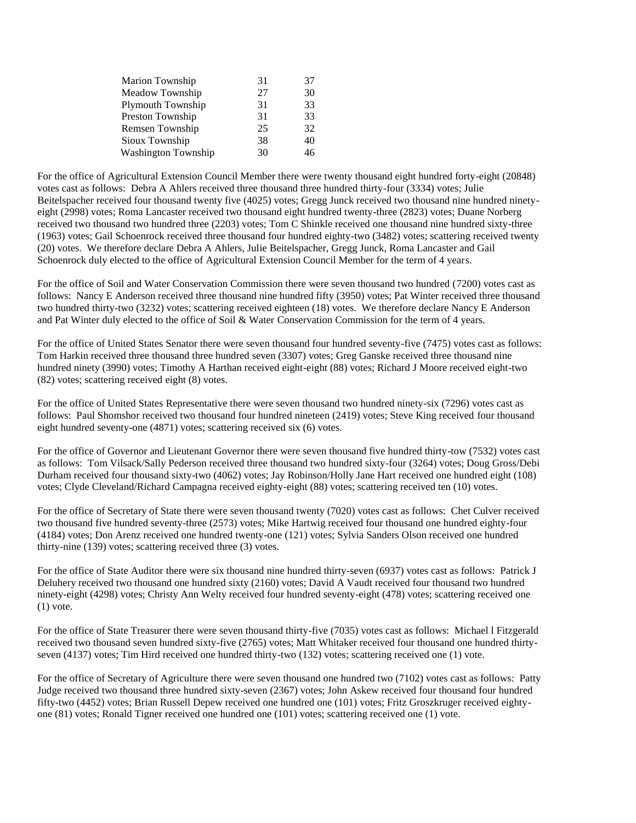| Marion Township            | 31 | 37 |
|----------------------------|----|----|
| Meadow Township            | 27 | 30 |
| Plymouth Township          | 31 | 33 |
| Preston Township           | 31 | 33 |
| Remsen Township            | 25 | 32 |
| Sioux Township             | 38 | 40 |
| <b>Washington Township</b> | 30 | 46 |
|                            |    |    |

For the office of Agricultural Extension Council Member there were twenty thousand eight hundred forty-eight (20848) votes cast as follows: Debra A Ahlers received three thousand three hundred thirty-four (3334) votes; Julie Beitelspacher received four thousand twenty five (4025) votes; Gregg Junck received two thousand nine hundred ninetyeight (2998) votes; Roma Lancaster received two thousand eight hundred twenty-three (2823) votes; Duane Norberg received two thousand two hundred three (2203) votes; Tom C Shinkle received one thousand nine hundred sixty-three (1963) votes; Gail Schoenrock received three thousand four hundred eighty-two (3482) votes; scattering received twenty (20) votes. We therefore declare Debra A Ahlers, Julie Beitelspacher, Gregg Junck, Roma Lancaster and Gail Schoenrock duly elected to the office of Agricultural Extension Council Member for the term of 4 years.

For the office of Soil and Water Conservation Commission there were seven thousand two hundred (7200) votes cast as follows: Nancy E Anderson received three thousand nine hundred fifty (3950) votes; Pat Winter received three thousand two hundred thirty-two (3232) votes; scattering received eighteen (18) votes. We therefore declare Nancy E Anderson and Pat Winter duly elected to the office of Soil & Water Conservation Commission for the term of 4 years.

For the office of United States Senator there were seven thousand four hundred seventy-five (7475) votes cast as follows: Tom Harkin received three thousand three hundred seven (3307) votes; Greg Ganske received three thousand nine hundred ninety (3990) votes; Timothy A Harthan received eight-eight (88) votes; Richard J Moore received eight-two (82) votes; scattering received eight (8) votes.

For the office of United States Representative there were seven thousand two hundred ninety-six (7296) votes cast as follows: Paul Shomshor received two thousand four hundred nineteen (2419) votes; Steve King received four thousand eight hundred seventy-one (4871) votes; scattering received six (6) votes.

For the office of Governor and Lieutenant Governor there were seven thousand five hundred thirty-tow (7532) votes cast as follows: Tom Vilsack/Sally Pederson received three thousand two hundred sixty-four (3264) votes; Doug Gross/Debi Durham received four thousand sixty-two (4062) votes; Jay Robinson/Holly Jane Hart received one hundred eight (108) votes; Clyde Cleveland/Richard Campagna received eighty-eight (88) votes; scattering received ten (10) votes.

For the office of Secretary of State there were seven thousand twenty (7020) votes cast as follows: Chet Culver received two thousand five hundred seventy-three (2573) votes; Mike Hartwig received four thousand one hundred eighty-four (4184) votes; Don Arenz received one hundred twenty-one (121) votes; Sylvia Sanders Olson received one hundred thirty-nine (139) votes; scattering received three (3) votes.

For the office of State Auditor there were six thousand nine hundred thirty-seven (6937) votes cast as follows: Patrick J Deluhery received two thousand one hundred sixty (2160) votes; David A Vaudt received four thousand two hundred ninety-eight (4298) votes; Christy Ann Welty received four hundred seventy-eight (478) votes; scattering received one  $(1)$  vote.

For the office of State Treasurer there were seven thousand thirty-five (7035) votes cast as follows: Michael l Fitzgerald received two thousand seven hundred sixty-five (2765) votes; Matt Whitaker received four thousand one hundred thirtyseven (4137) votes; Tim Hird received one hundred thirty-two (132) votes; scattering received one (1) vote.

For the office of Secretary of Agriculture there were seven thousand one hundred two (7102) votes cast as follows: Patty Judge received two thousand three hundred sixty-seven (2367) votes; John Askew received four thousand four hundred fifty-two (4452) votes; Brian Russell Depew received one hundred one (101) votes; Fritz Groszkruger received eightyone (81) votes; Ronald Tigner received one hundred one (101) votes; scattering received one (1) vote.